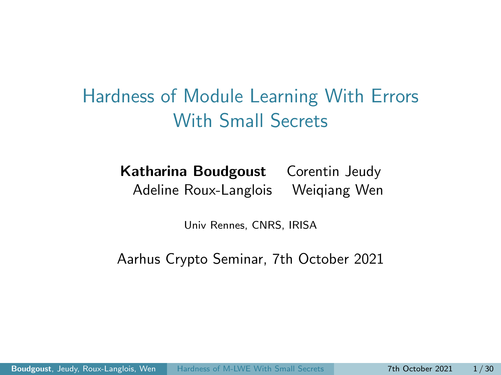<span id="page-0-0"></span>Hardness of Module Learning With Errors With Small Secrets

> Katharina Boudgoust Corentin Jeudy Adeline Roux-Langlois Weiqiang Wen

> > Univ Rennes, CNRS, IRISA

Aarhus Crypto Seminar, 7th October 2021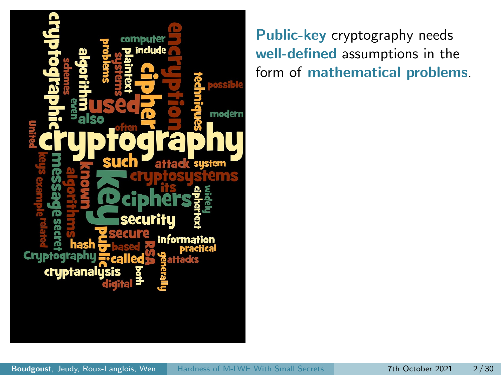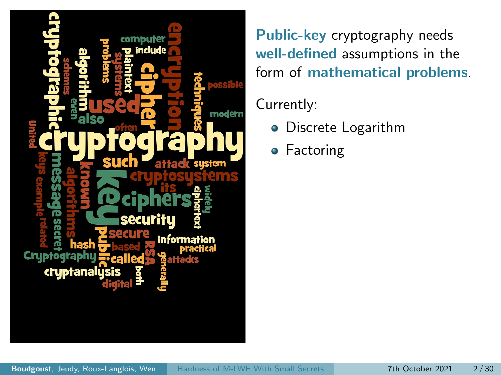

#### Currently:

- Discrete Logarithm
- **•** Factoring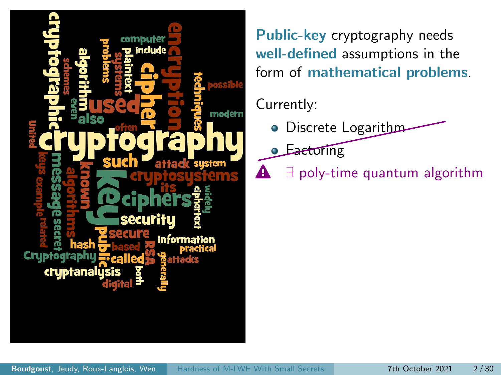

#### Currently:

- **O** Discrete Logarithm
- **Eactoring**
- $\mathbf{A}$   $\exists$  poly-time quantum algorithm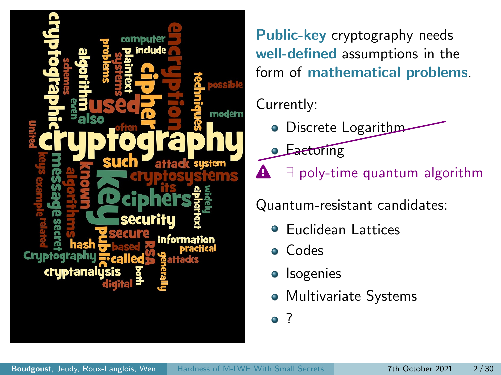

#### Currently:

- **O** Discrete Logarithm
- **Eactoring**
- $\mathbf{\triangle}$   $\exists$  poly-time quantum algorithm

Quantum-resistant candidates:

- Euclidean Lattices
- Codes
- Isogenies
- Multivariate Systems

<sup>2</sup>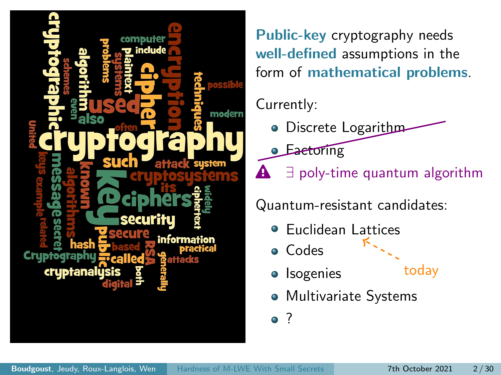

#### Currently:

- **O** Discrete Logarithm
- **Eactoring**
- $\mathbf{\triangle}$   $\exists$  poly-time quantum algorithm

Quantum-resistant candidates:

- Euclidean Lattices  $\bullet$
- Codes
- Isogenies
- today
- Multivariate Systems

<sup>2</sup>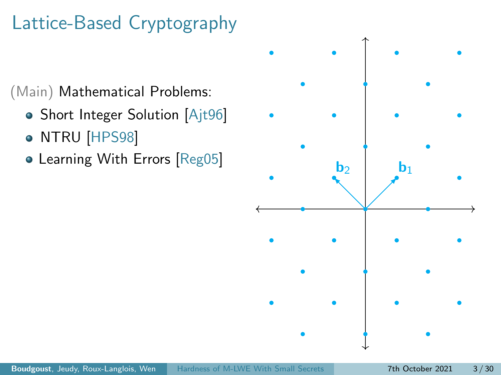# Lattice-Based Cryptography

(Main) Mathematical Problems:

- Short Integer Solution [\[Ajt96\]](#page-68-0)
- NTRU [\[HPS98\]](#page-70-0)
- Learning With Errors [\[Reg05\]](#page-71-1)

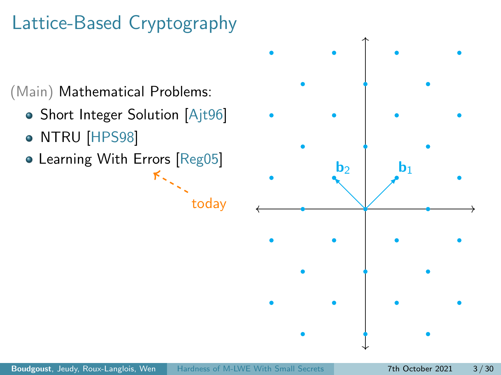# Lattice-Based Cryptography

(Main) Mathematical Problems:

- Short Integer Solution [\[Ajt96\]](#page-68-0)
- NTRU [\[HPS98\]](#page-70-0)
- Learning With Errors [\[Reg05\]](#page-71-1)  $K_{\infty}$



today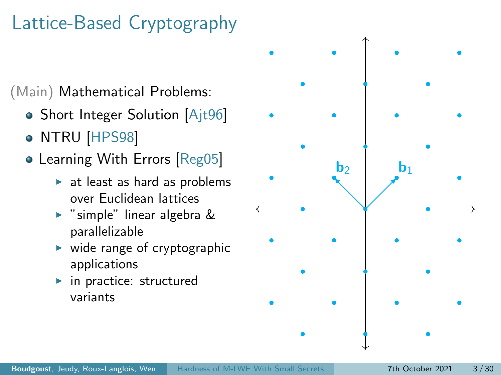# Lattice-Based Cryptography

(Main) Mathematical Problems:

- Short Integer Solution [\[Ajt96\]](#page-68-0)
- NTRU [\[HPS98\]](#page-70-0)
- Learning With Errors [\[Reg05\]](#page-71-1)
	- $\blacktriangleright$  at least as hard as problems over Euclidean lattices
	- $\triangleright$  "simple" linear algebra & parallelizable
	- $\triangleright$  wide range of cryptographic applications
	- $\blacktriangleright$  in practice: structured variants

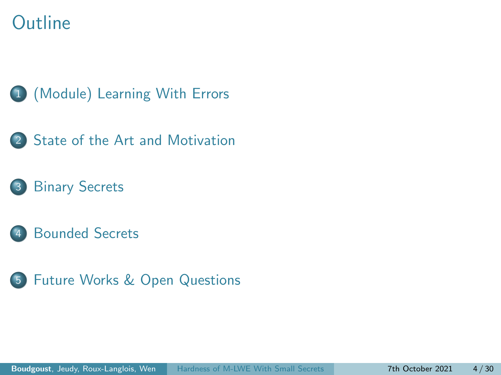### **Outline**









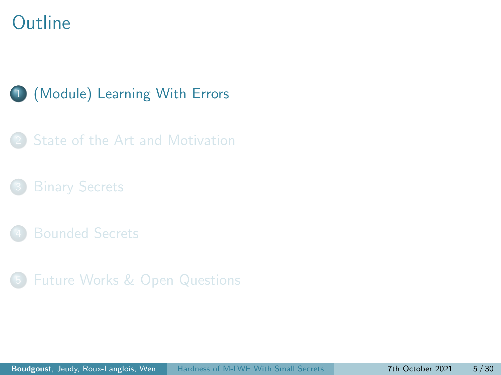### <span id="page-10-0"></span>**Outline**

#### 1 [\(Module\) Learning With Errors](#page-10-0)

[State of the Art and Motivation](#page-30-0)

- 
- 5 [Future Works & Open Questions](#page-63-0)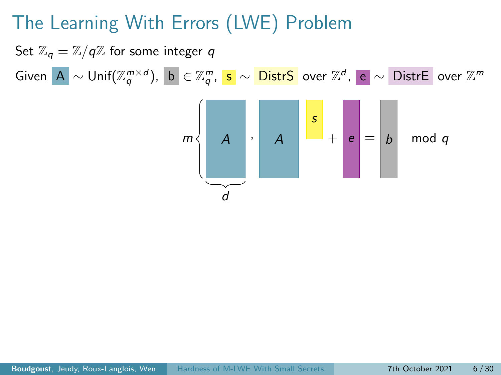Set  $\mathbb{Z}_q = \mathbb{Z}/q\mathbb{Z}$  for some integer q Given  $\vert {\bf A} \vert \sim {\sf Unif}({\mathbb Z}_q^{m \times d}), \ \vert {\bf b} \vert \in {\mathbb Z}_q^m, \ \vert {\bf s} \vert \sim \overline {\sf DistrS} \ \ \text{over} \ {\mathbb Z}^d, \ \vert {\bf e} \vert \sim \overline {\sf DistrE} \ \ \text{over} \ {\mathbb Z}^m$ 

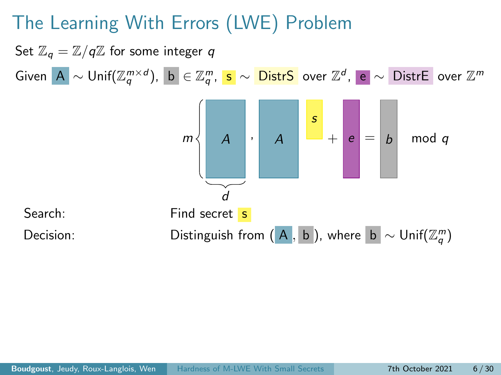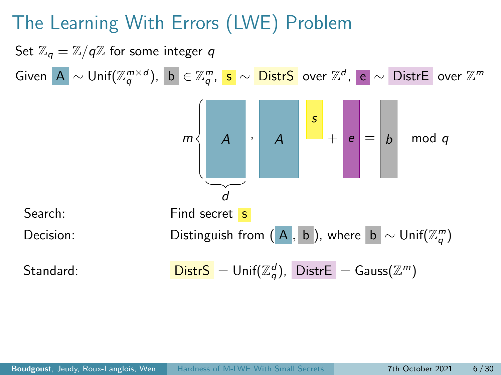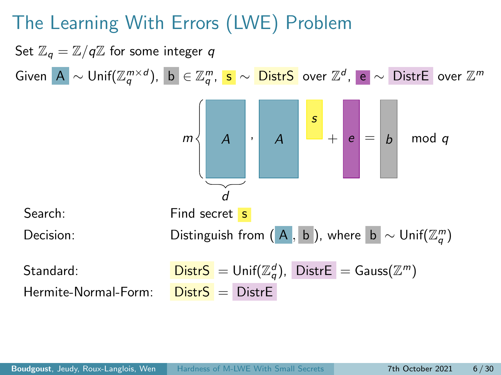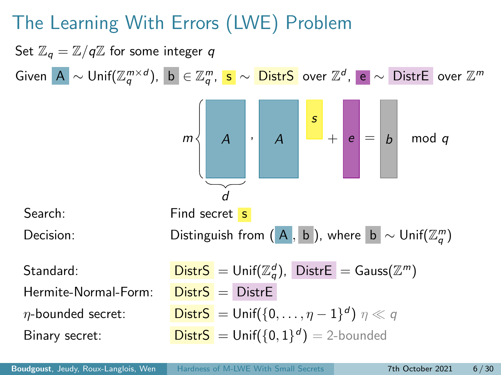Set  $\mathbb{Z}_q = \mathbb{Z}/q\mathbb{Z}$  for some integer q Given  $\vert {\bf A} \vert \sim {\sf Unif}({\mathbb Z}_q^{m \times d}), \ \vert {\bf b} \vert \in {\mathbb Z}_q^m, \ \vert {\bf s} \vert \sim \overline {\sf DistrS} \ \ \text{over} \ {\mathbb Z}^d, \ \vert {\bf e} \vert \sim \overline {\sf DistrE} \ \ \text{over} \ {\mathbb Z}^m$  $A \mid \cdot \mid A$ s  $m \leftarrow A \quad | \cdot | \quad A \quad | \quad \textcolor{red}{\text{---}} + | \textcolor{red}{e} \textcolor{black}{|} = | \textcolor{red}{b} | \quad \textsf{mod} \; q$ d Search: Find secret s Decision: Distinguish from  $(A, b)$ , where  $b \sim \textsf{Unif}(\mathbb{Z}_q^m)$  $\mathsf{StartS} = \mathsf{Unif}(\mathbb{Z}_q^d)$ ,  $\mathsf{DistrE} = \mathsf{Gauss}(\mathbb{Z}^m)$ Hermite-Normal-Form:  $Dist S = Dist F$  $\eta$ -bounded secret: Distr $S = \mathsf{Unif}(\{0,\ldots,\eta-1\}^d)$   $\eta \ll q$ **Binary secret:** Distr $S = \text{Unif}(\{0, 1\}^d) = 2$ -bounded

Boudgoust, Jeudy, Roux-Langlois, Wen [Hardness of M-LWE With Small Secrets](#page-0-0) 7th October 2021 6/30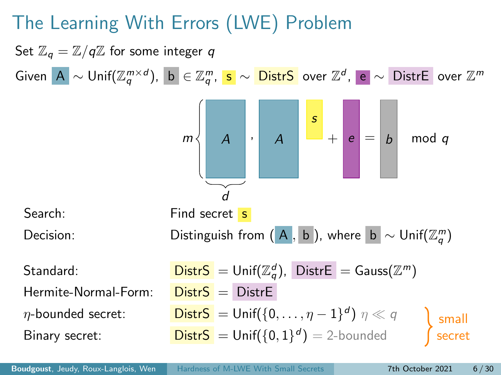Set  $\mathbb{Z}_q = \mathbb{Z}/q\mathbb{Z}$  for some integer q Given  $\vert {\bf A} \vert \sim {\sf Unif}({\mathbb Z}_q^{m \times d}), \ \vert {\bf b} \vert \in {\mathbb Z}_q^m, \ \vert {\bf s} \vert \sim \overline {\sf DistrS} \ \ \text{over} \ {\mathbb Z}^d, \ \vert {\bf e} \vert \sim \overline {\sf DistrE} \ \ \text{over} \ {\mathbb Z}^m$  $A \mid \cdot \mid A$ s  $m \leftarrow A \quad | \cdot | \quad A \quad | \quad \textcolor{red}{\text{---}} + | \textcolor{red}{e} \textcolor{black}{|} = | \textcolor{red}{b} | \quad \textsf{mod} \; q$ d Search: Find secret s Decision: Distinguish from  $(A, b)$ , where  $b \sim \textsf{Unif}(\mathbb{Z}_q^m)$  $\mathsf{StartS} = \mathsf{Unif}(\mathbb{Z}_q^d)$ ,  $\mathsf{DistrE} = \mathsf{Gauss}(\mathbb{Z}^m)$ Hermite-Normal-Form:  $Dist S = Dist F$  $\eta$ -bounded secret: Distr $S = \mathsf{Unif}(\{0,\ldots,\eta-1\}^d)$   $\eta \ll q$ **Binary secret:** Distr $S = \text{Unif}(\{0, 1\}^d) = 2$ -bounded small secret

Boudgoust, Jeudy, Roux-Langlois, Wen [Hardness of M-LWE With Small Secrets](#page-0-0) 7th October 2021 6/30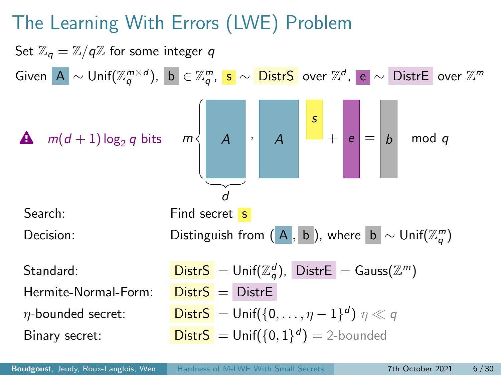

Boudgoust, Jeudy, Roux-Langlois, Wen [Hardness of M-LWE With Small Secrets](#page-0-0) 7th October 2021 6/30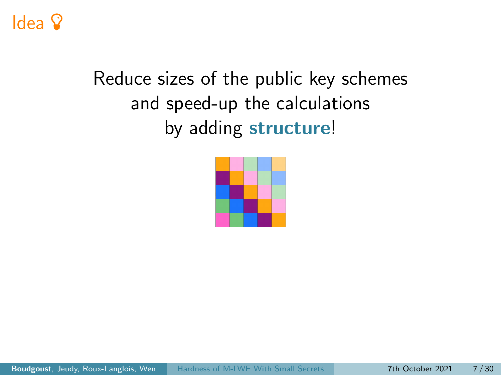## Idea <sup>Q</sup>

# Reduce sizes of the public key schemes and speed-up the calculations by adding structure!

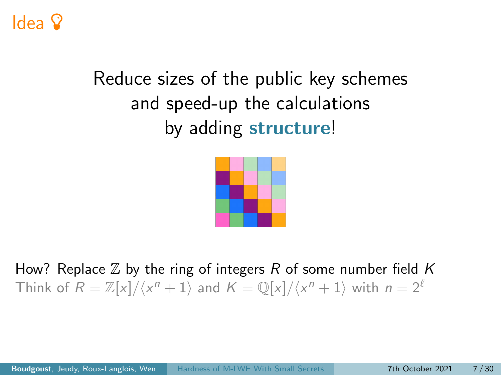## Idea

# Reduce sizes of the public key schemes and speed-up the calculations by adding structure!



How? Replace  $\mathbb Z$  by the ring of integers R of some number field K Think of  $R = \mathbb{Z}[x]/\langle x^n + 1 \rangle$  and  $K = \mathbb{Q}[x]/\langle x^n + 1 \rangle$  with  $n = 2^{\ell}$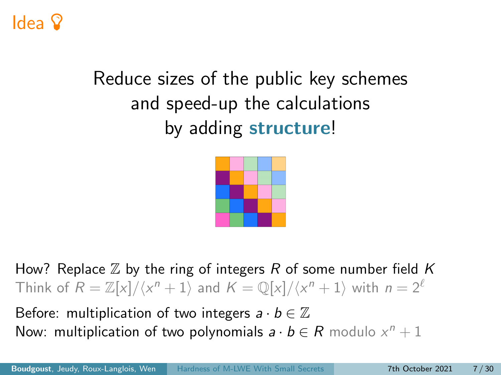## Idea

# Reduce sizes of the public key schemes and speed-up the calculations by adding structure!



How? Replace  $\mathbb Z$  by the ring of integers R of some number field K Think of  $R = \mathbb{Z}[x]/\langle x^n + 1 \rangle$  and  $K = \mathbb{Q}[x]/\langle x^n + 1 \rangle$  with  $n = 2^{\ell}$ 

Before: multiplication of two integers  $a \cdot b \in \mathbb{Z}$ Now: multiplication of two polynomials  $a \cdot b \in R$  modulo  $x^n + 1$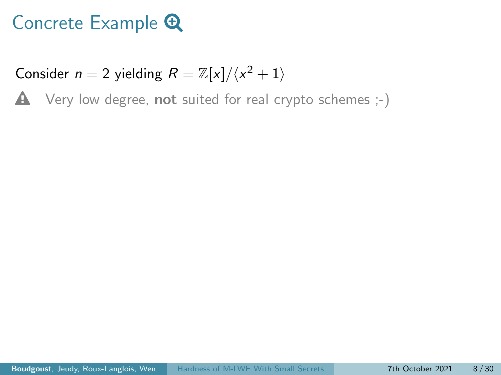Consider  $n = 2$  yielding  $R = \mathbb{Z}[x]/\langle x^2 + 1 \rangle$ 

 $\triangle$  Very low degree, not suited for real crypto schemes  $;-$ )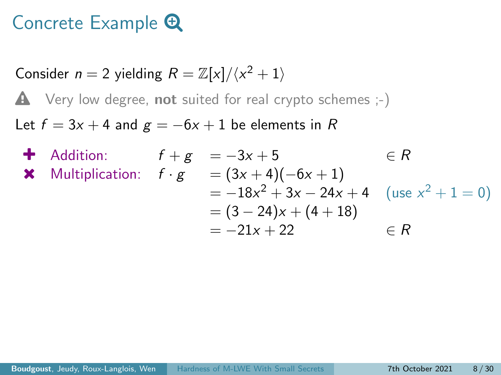Consider  $n = 2$  yielding  $R = \mathbb{Z}[x]/\langle x^2 + 1 \rangle$ 

 $\triangle$  Very low degree, not suited for real crypto schemes  $;-)$ 

Let  $f = 3x + 4$  and  $g = -6x + 1$  be elements in R

4 Addition:

\n
$$
f + g = -3x + 5 \qquad \in R
$$
\n4 Multiplication:

\n
$$
f \cdot g = (3x + 4)(-6x + 1)
$$
\n
$$
= -18x^{2} + 3x - 24x + 4 \quad (\text{use } x^{2} + 1 = 0)
$$
\n
$$
= (3 - 24)x + (4 + 18)
$$
\n
$$
= -21x + 22 \qquad \in R
$$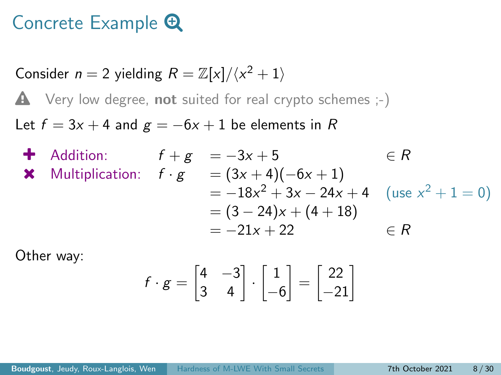Consider  $n = 2$  yielding  $R = \mathbb{Z}[x]/\langle x^2 + 1 \rangle$ 

 $\triangle$  Very low degree, not suited for real crypto schemes  $;-$ )

Let  $f = 3x + 4$  and  $g = -6x + 1$  be elements in R

4 Addition:

\n
$$
f + g = -3x + 5 \qquad \in R
$$
\n4 Multiplication:

\n
$$
f \cdot g = (3x + 4)(-6x + 1)
$$
\n
$$
= -18x^{2} + 3x - 24x + 4 \quad (\text{use } x^{2} + 1 = 0)
$$
\n
$$
= (3 - 24)x + (4 + 18)
$$
\n
$$
= -21x + 22 \qquad \in R
$$

Other way:

$$
f \cdot g = \begin{bmatrix} 4 & -3 \\ 3 & 4 \end{bmatrix} \cdot \begin{bmatrix} 1 \\ -6 \end{bmatrix} = \begin{bmatrix} 22 \\ -21 \end{bmatrix}
$$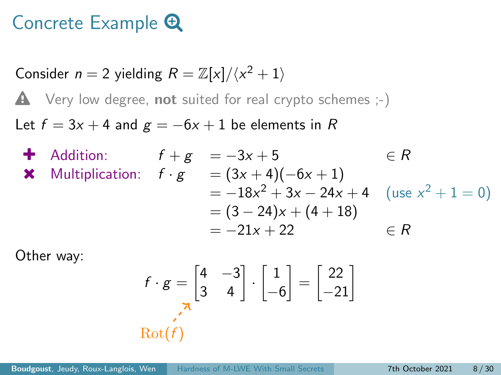Consider  $n = 2$  yielding  $R = \mathbb{Z}[x]/\langle x^2 + 1 \rangle$ 

 $\triangle$  Very low degree, not suited for real crypto schemes  $;-$ )

Let  $f = 3x + 4$  and  $g = -6x + 1$  be elements in R

4 Addition:

\n
$$
f + g = -3x + 5 \qquad \in R
$$
\n4 Multiplication:

\n
$$
f \cdot g = (3x + 4)(-6x + 1)
$$
\n
$$
= -18x^{2} + 3x - 24x + 4 \quad (\text{use } x^{2} + 1 = 0)
$$
\n
$$
= (3 - 24)x + (4 + 18)
$$
\n
$$
= -21x + 22 \qquad \in R
$$

Other way:

$$
f \cdot g = \begin{bmatrix} 4 & -3 \\ 3 & 4 \end{bmatrix} \cdot \begin{bmatrix} 1 \\ -6 \end{bmatrix} = \begin{bmatrix} 22 \\ -21 \end{bmatrix}
$$
  
Rot(*f*)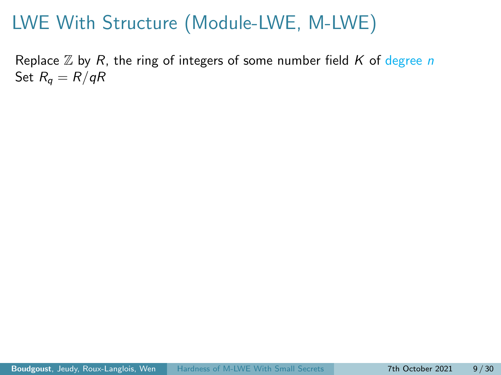Replace  $\mathbb Z$  by R, the ring of integers of some number field K of degree n Set  $R_q = R/qR$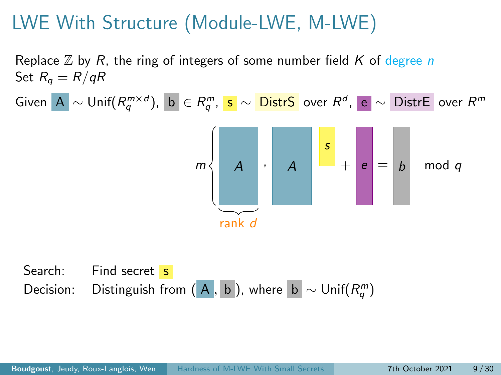Replace  $\mathbb Z$  by R, the ring of integers of some number field K of degree n Set  $R_q = R/qR$ 

Given A  $\sim$  Unif $(R_q^{m\times d})$ , b  $\in R_q^m$ , s  $\sim$  <mark>DistrS</mark> over  $R^d$ , e  $\sim$  DistrE over  $R^m$ 



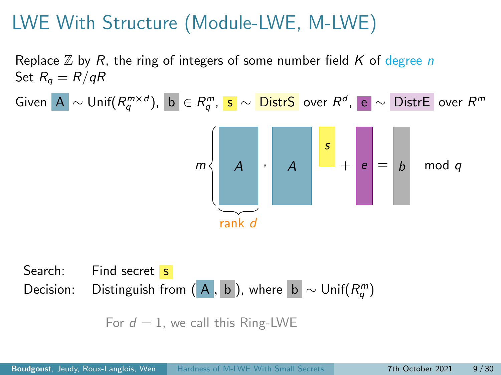Replace  $\mathbb Z$  by R, the ring of integers of some number field K of degree n Set  $R_q = R/qR$ 

Given A  $\sim$  Unif $(R_q^{m\times d})$ , b  $\in R_q^m$ , s  $\sim$  <mark>DistrS</mark> over  $R^d$ , e  $\sim$  DistrE over  $R^m$ 



Search: Find secret s Decision: Distinguish from  $(A, b)$ , where  $b \sim \mathsf{Unif}(R_q^m)$ 

For  $d = 1$ , we call this Ring-LWE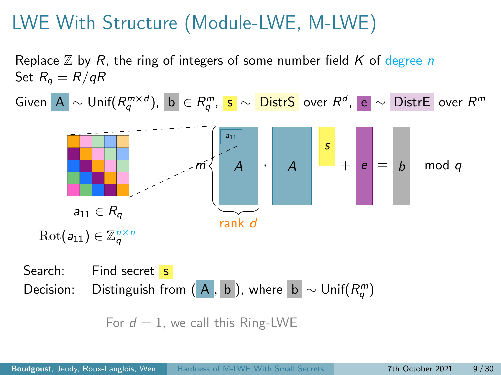Replace  $\mathbb Z$  by R, the ring of integers of some number field K of degree n Set  $R_q = R/qR$ 

Given A  $\sim$  Unif $(R_q^{m\times d})$ , b  $\in R_q^m$ , s  $\sim$  <mark>DistrS</mark> over  $R^d$ , e  $\sim$  DistrE over  $R^m$ 



Search: Find secret s Decision: Distinguish from  $(A, b)$ , where  $b \sim \mathsf{Unif}(R_q^m)$ 

For  $d = 1$ , we call this Ring-LWE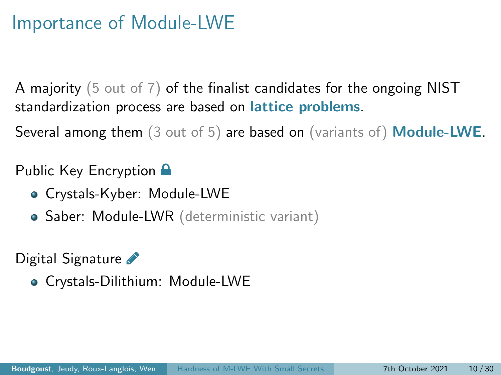#### Importance of Module-LWE

A majority (5 out of 7) of the finalist candidates for the ongoing NIST standardization process are based on *lattice* problems.

Several among them (3 out of 5) are based on (variants of) Module-LWE.

#### Public Key Encryption  $\blacksquare$

- Crystals-Kyber: Module-LWE
- Saber: Module-LWR (deterministic variant)

Digital Signature

Crystals-Dilithium: Module-LWE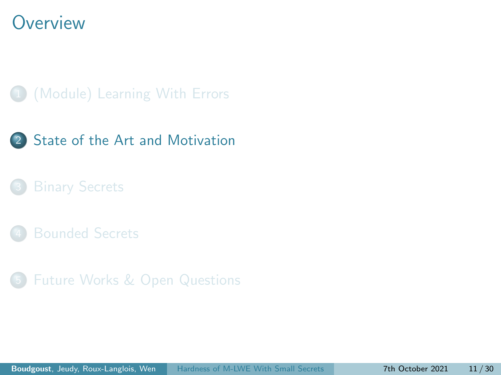#### <span id="page-30-0"></span>**Overview**

#### 1 [\(Module\) Learning With Errors](#page-10-0)



5 [Future Works & Open Questions](#page-63-0)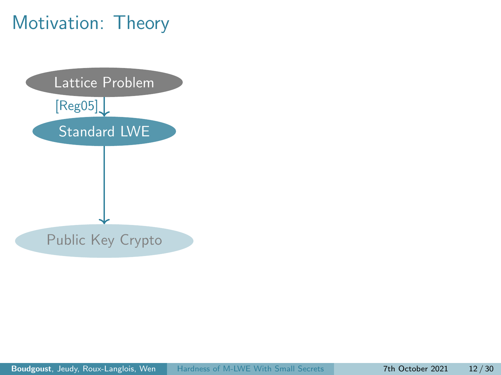## Motivation: Theory

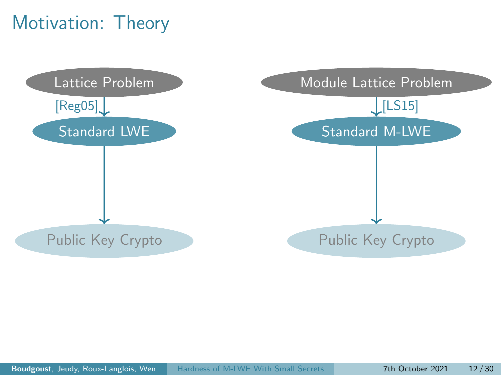## Motivation: Theory

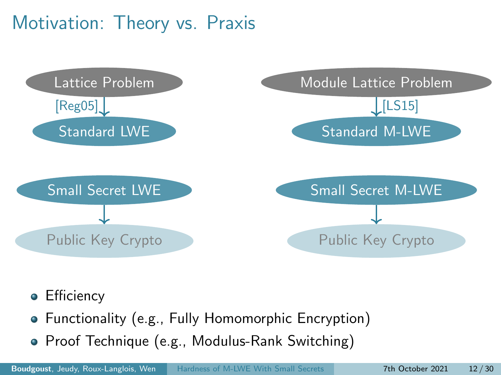### Motivation: Theory vs. Praxis



- **•** Efficiency
- Functionality (e.g., Fully Homomorphic Encryption)
- Proof Technique (e.g., Modulus-Rank Switching)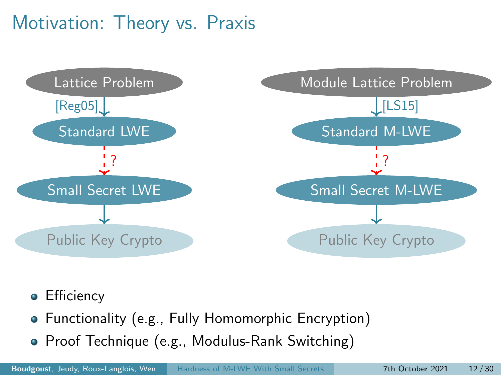### Motivation: Theory vs. Praxis



- **•** Efficiency
- Functionality (e.g., Fully Homomorphic Encryption)
- Proof Technique (e.g., Modulus-Rank Switching)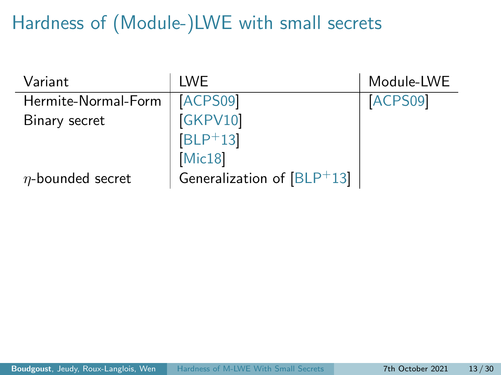# Hardness of (Module-)LWE with small secrets

| Variant                | I WE                         | Module-LWE |
|------------------------|------------------------------|------------|
| Hermite-Normal-Form    | ACPS09                       | ACPS09     |
| Binary secret          | GKPV10                       |            |
|                        | $[BLP+13]$                   |            |
|                        | Mic18                        |            |
| $\eta$ -bounded secret | Generalization of $[BLP+13]$ |            |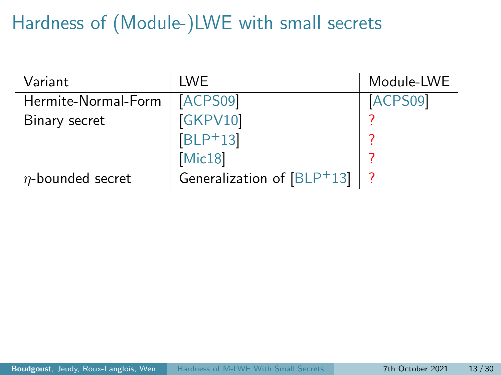# Hardness of (Module-)LWE with small secrets

| Variant                | <b>IWE</b>                   | Module-LWE |
|------------------------|------------------------------|------------|
| Hermite-Normal-Form    | ACPS09                       | ACPS09     |
| Binary secret          | [GKPV10]                     |            |
|                        | $[BLP+13]$                   |            |
|                        | Mic18                        |            |
| $\eta$ -bounded secret | Generalization of $[BLP+13]$ |            |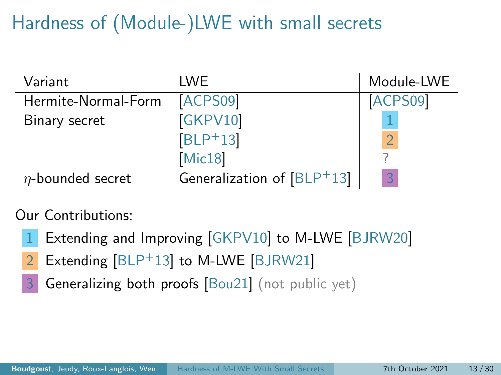# Hardness of (Module-)LWE with small secrets

| Variant                | <b>IWE</b>                   | Module-LWE |
|------------------------|------------------------------|------------|
| Hermite-Normal-Form    | ACPS09                       | ACPS09     |
| Binary secret          | [GKPV10]                     |            |
|                        | $[BLP+13]$                   |            |
|                        | Mic18                        |            |
| $\eta$ -bounded secret | Generalization of $[BLP+13]$ | 3          |

Our Contributions:

- Extending and Improving [\[GKPV10\]](#page-69-0) to M-LWE [\[BJRW20\]](#page-68-1)
- 2 Extending [\[BLP](#page-69-1)+13] to M-LWE [\[BJRW21\]](#page-69-2)
- 3 Generalizing both proofs [\[Bou21\]](#page-69-3) (not public yet)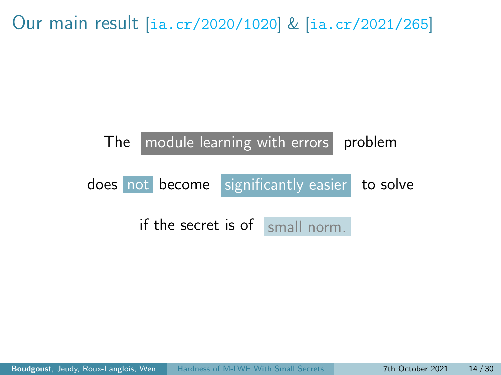Our main result [<ia.cr/2020/1020>] & [<ia.cr/2021/265>]

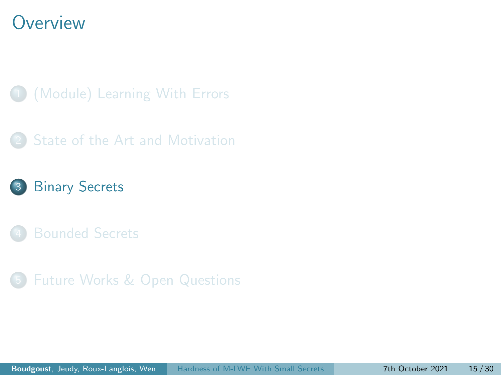#### <span id="page-39-0"></span>**Overview**

- 1 [\(Module\) Learning With Errors](#page-10-0)
- [State of the Art and Motivation](#page-30-0)
- 3 [Binary Secrets](#page-39-0)
- 
- 5 [Future Works & Open Questions](#page-63-0)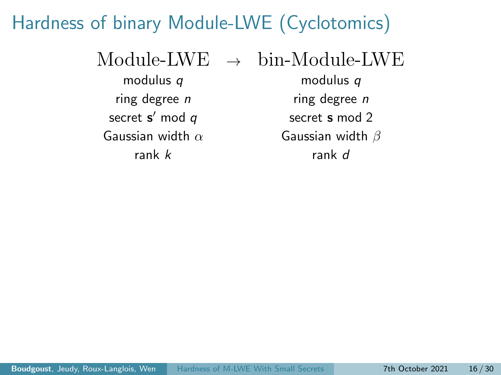### Hardness of binary Module-LWE (Cyclotomics)

 $\text{Module-}$   $\text{LWE} \rightarrow \text{bin-}$ Module-LWE modulus q modulus q

secret  $s'$  mod  $q$ Gaussian width  $\alpha$  Gaussian width  $\beta$ rank k rank d

ring degree *n* ring degree *n* secret s mod 2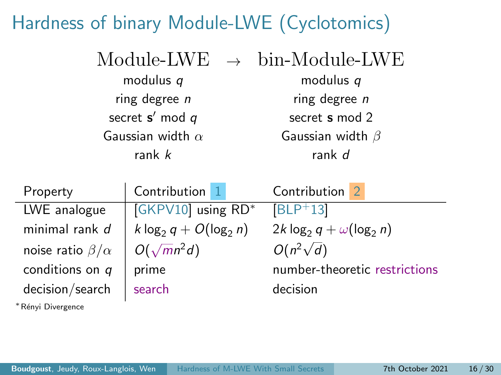# Hardness of binary Module-LWE (Cyclotomics)

|                         | $Module-LWE \rightarrow bin-Module-LWE$ |
|-------------------------|-----------------------------------------|
| modulus q               | modulus $q$                             |
| ring degree $n$         | ring degree $n$                         |
| secret $s'$ mod $q$     | secret s mod 2                          |
| Gaussian width $\alpha$ | Gaussian width $\beta$                  |
| rank $k$                | rank d                                  |

| Property                   | Contribution 1           | Contribution                     |
|----------------------------|--------------------------|----------------------------------|
| LWE analogue               | GKPV10 using RD*         | $ BLP+13 $                       |
| minimal rank d             | k $log_2 q + O(log_2 n)$ | $2k \log_2 q + \omega(\log_2 n)$ |
| noise ratio $\beta/\alpha$ | $O(\sqrt{mn^2d})$        | $O(n^2\sqrt{d})$                 |
| conditions on $q$          | prime                    | number-theoretic restrictions    |
| decision/search            | search                   | decision                         |

<sup>∗</sup>R´enyi Divergence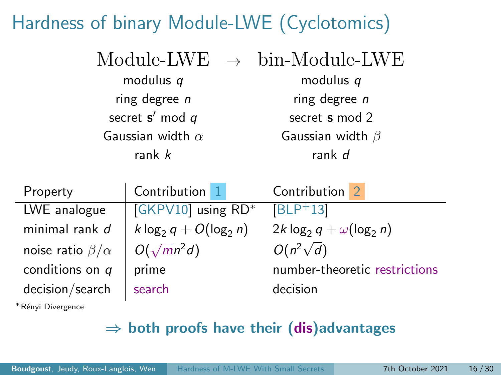# Hardness of binary Module-LWE (Cyclotomics)

|                         | $Module-LWE \rightarrow bin-Module-LWE$ |
|-------------------------|-----------------------------------------|
| modulus $q$             | modulus $q$                             |
| ring degree $n$         | ring degree $n$                         |
| secret $s'$ mod $q$     | secret s mod 2                          |
| Gaussian width $\alpha$ | Gaussian width $\beta$                  |
| rank $k$                | rank d                                  |

| Property                   | Contribution 1           | Contribution                     |
|----------------------------|--------------------------|----------------------------------|
| LWE analogue               | GKPV10 using RD*         | $[BLP+13]$                       |
| minimal rank d             | k $log_2 q + O(log_2 n)$ | $2k \log_2 q + \omega(\log_2 n)$ |
| noise ratio $\beta/\alpha$ | $O(\sqrt{m}n^2d)$        | $O(n^2\sqrt{d})$                 |
| conditions on $q$          | prime                    | number-theoretic restrictions    |
| decision/search            | search                   | decision                         |

<sup>∗</sup>R´enyi Divergence

#### $\Rightarrow$  both proofs have their (dis)advantages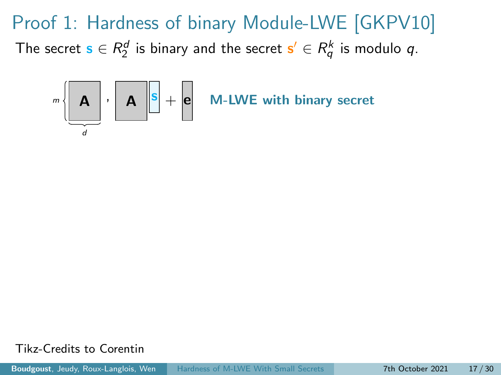

Tikz-Credits to Corentin

Boudgoust, Jeudy, Roux-Langlois, Wen [Hardness of M-LWE With Small Secrets](#page-0-0) 7th October 2021 17 / 30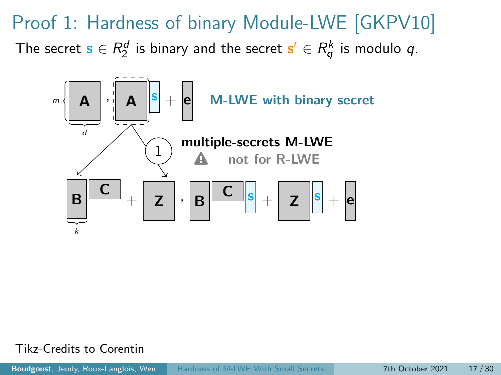Proof 1: Hardness of binary Module-LWE [\[GKPV10\]](#page-69-0) The secret  $\mathbf{s} \in R_2^d$  is binary and the secret  $\mathbf{s}' \in R_q^k$  is modulo  $q$ .



Tikz-Credits to Corentin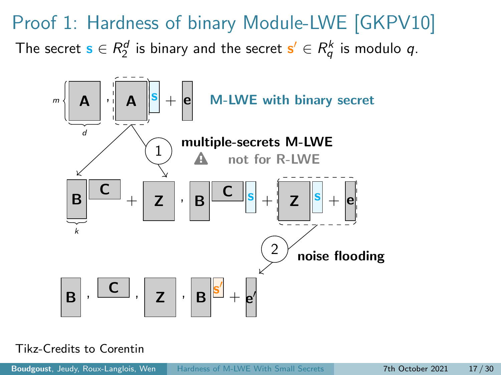Proof 1: Hardness of binary Module-LWE [\[GKPV10\]](#page-69-0) The secret  $\mathbf{s} \in R_2^d$  is binary and the secret  $\mathbf{s}' \in R_q^k$  is modulo  $q$ .



Tikz-Credits to Corentin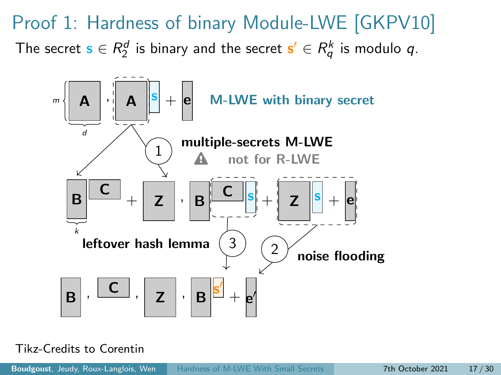

#### Tikz-Credits to Corentin

Boudgoust, Jeudy, Roux-Langlois, Wen [Hardness of M-LWE With Small Secrets](#page-0-0) 7th October 2021 17 / 30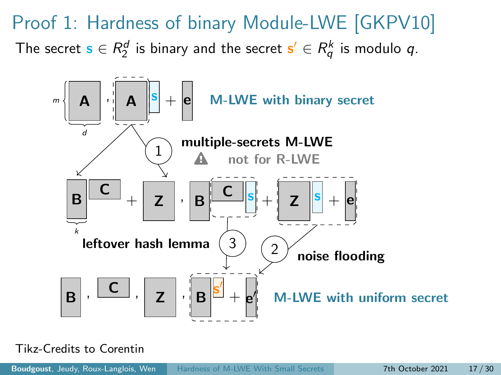

Tikz-Credits to Corentin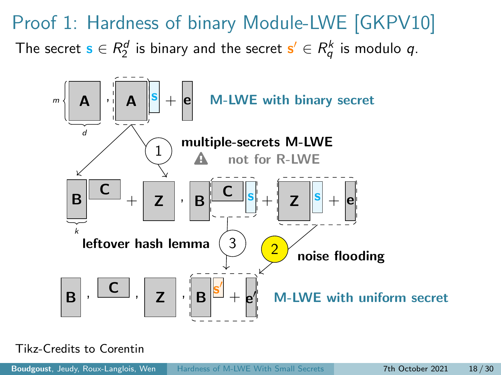

Tikz-Credits to Corentin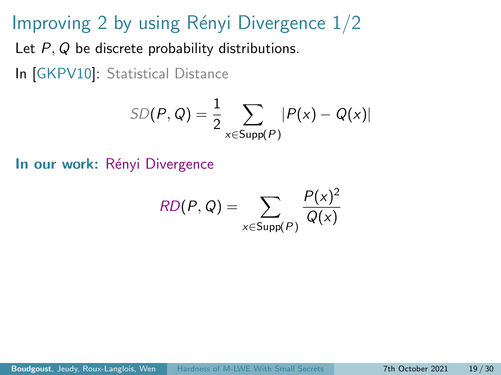### Improving 2 by using Rényi Divergence  $1/2$

Let P, Q be discrete probability distributions.

In [\[GKPV10\]](#page-69-0): Statistical Distance

$$
SD(P, Q) = \frac{1}{2} \sum_{x \in Supp(P)} |P(x) - Q(x)|
$$

In our work: Rényi Divergence

$$
RD(P,Q) = \sum_{x \in \text{Supp}(P)} \frac{P(x)^2}{Q(x)}
$$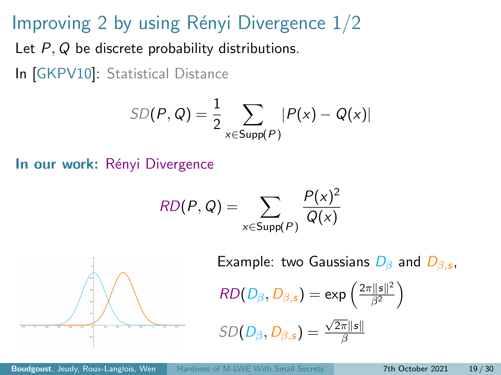### Improving 2 by using Rényi Divergence  $1/2$

Let P, Q be discrete probability distributions.

In [\[GKPV10\]](#page-69-0): Statistical Distance

$$
SD(P, Q) = \frac{1}{2} \sum_{x \in \text{Supp}(P)} |P(x) - Q(x)|
$$

In our work: Rényi Divergence

$$
RD(P,Q) = \sum_{x \in \text{Supp}(P)} \frac{P(x)^2}{Q(x)}
$$



Example: two Gaussians  $D_{\beta}$  and  $D_{\beta,s}$ ,

$$
RD(D_{\beta}, D_{\beta,s}) = \exp\left(\frac{2\pi ||s||^2}{\beta^2}\right)
$$

$$
SD(D_{\beta}, D_{\beta,s}) = \frac{\sqrt{2\pi} \|s\|}{\beta}
$$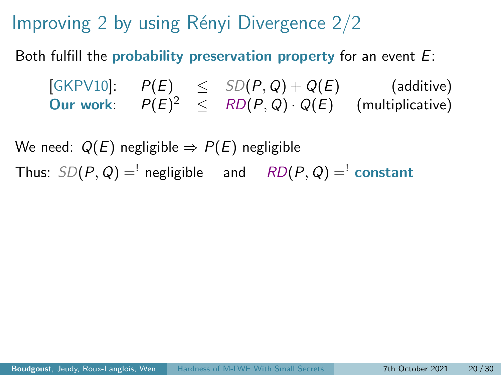Improving 2 by using Rényi Divergence  $2/2$ 

Both fulfill the probability preservation property for an event  $E$ :

[\[GKPV10\]](#page-69-0):  $P(E) \leq SD(P,Q) + Q(E)$  (additive) Our work:  $P(E)^2 \leq R D(P,Q) \cdot Q(E)$  (multiplicative)

We need:  $Q(E)$  negligible  $\Rightarrow P(E)$  negligible Thus:  $SD(P, Q) =$ <sup>'</sup> negligible and  $RD(P, Q) =$ <sup>'</sup> constant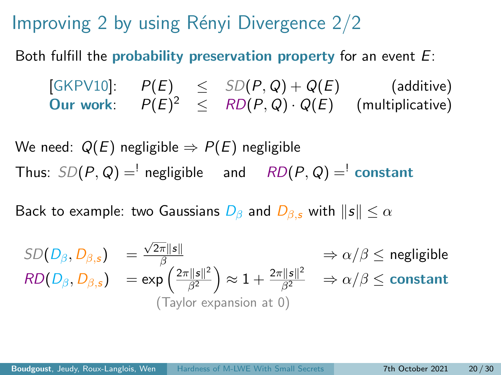Improving 2 by using Rényi Divergence  $2/2$ 

Both fulfill the probability preservation property for an event  $E$ :

[\[GKPV10\]](#page-69-0):  $P(E) \leq SD(P,Q) + Q(E)$  (additive) Our work:  $P(E)^2 \leq R D(P,Q) \cdot Q(E)$  (multiplicative)

We need:  $Q(E)$  negligible  $\Rightarrow P(E)$  negligible Thus:  $SD(P, Q) =$ <sup>'</sup> negligible and  $RD(P, Q) =$ <sup>'</sup> constant

Back to example: two Gaussians  $D_\beta$  and  $D_\beta$ , with  $\|s\| \leq \alpha$ 

$$
SD(D_{\beta}, D_{\beta,s}) = \frac{\sqrt{2\pi} \|s\|}{\beta} \implies \alpha/\beta \le \text{negligible}
$$
  
\n
$$
RD(D_{\beta}, D_{\beta,s}) = \exp\left(\frac{2\pi \|s\|^2}{\beta^2}\right) \approx 1 + \frac{2\pi \|s\|^2}{\beta^2} \implies \alpha/\beta \le \text{constant}
$$
  
\n(Taylor expansion at 0)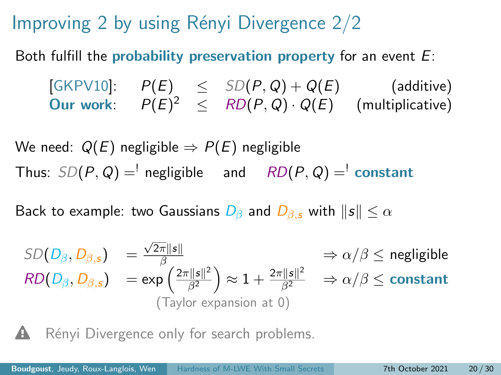Improving 2 by using Rényi Divergence  $2/2$ 

Both fulfill the probability preservation property for an event  $E$ :

 $[\mathsf{GKPV10}]: \quad P(E) \quad\leq\quad SD(P,Q) + Q(E) \qquad\qquad\text{(additive)}$ Our work:  $P(E)^2 \leq R D(P,Q) \cdot Q(E)$  (multiplicative)

We need:  $Q(E)$  negligible  $\Rightarrow P(E)$  negligible Thus:  $SD(P, Q) =$ <sup>'</sup> negligible and  $RD(P, Q) =$ <sup>'</sup> constant

Back to example: two Gaussians  $D_\beta$  and  $D_{\beta,s}$  with  $\|s\| \leq \alpha$ 

$$
SD(D_{\beta}, D_{\beta,s}) = \frac{\sqrt{2\pi} \|s\|}{\beta} \implies \alpha/\beta \le \text{negligible}
$$
  
\n
$$
RD(D_{\beta}, D_{\beta,s}) = \exp\left(\frac{2\pi \|s\|^2}{\beta^2}\right) \approx 1 + \frac{2\pi \|s\|^2}{\beta^2} \implies \alpha/\beta \le \text{constant}
$$
  
\n(Taylor expansion at 0)

Rényi Divergence only for search problems.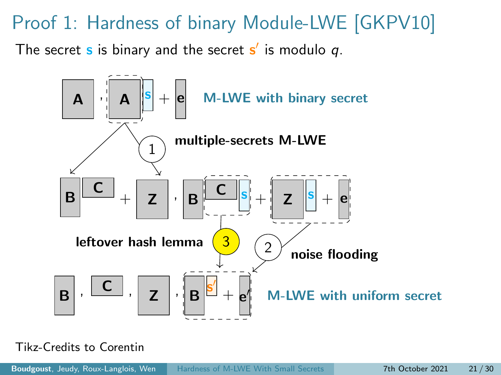#### Proof 1: Hardness of binary Module-LWE [\[GKPV10\]](#page-69-0)

The secret  $\bf s$  is binary and the secret  $\bf s'$  is modulo  $q.$ 



Tikz-Credits to Corentin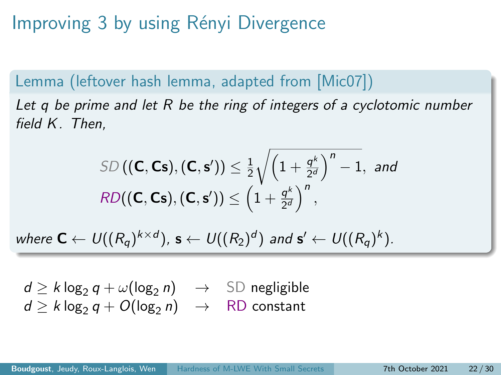Improving 3 by using Rényi Divergence

Lemma (leftover hash lemma, adapted from [\[Mic07\]](#page-70-0)) Let q be prime and let R be the ring of integers of a cyclotomic number field K. Then,

$$
\text{SD}\left((\mathbf{C},\mathbf{Cs}),(\mathbf{C},\mathbf{s}')\right) \leq \frac{1}{2} \sqrt{\left(1+\frac{q^k}{2^d}\right)^n - 1}, \text{ and}
$$
\n
$$
\text{RD}\left((\mathbf{C},\mathbf{Cs}),(\mathbf{C},\mathbf{s}')\right) \leq \left(1+\frac{q^k}{2^d}\right)^n,
$$

where  $\textsf{C}\leftarrow \textsf{U}((R_{{\mathsf{q}}})^{k\times d})$ ,  $\textsf{s}\leftarrow \textsf{U}((R_2)^d)$  and  $\textsf{s}'\leftarrow \textsf{U}((R_{{\mathsf{q}}})^k)$ .

 $d \ge k \log_2 q + \omega(\log_2 n) \rightarrow \text{SD negligible}$  $d > k \log_2 q + O(\log_2 n) \rightarrow \text{RD constant}$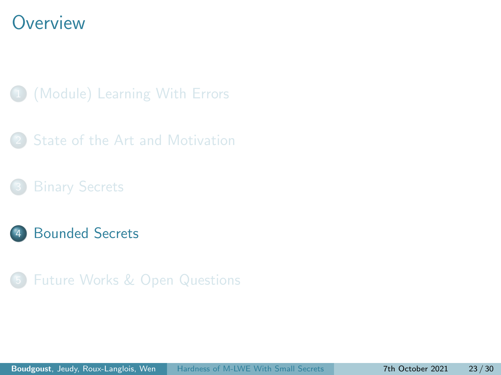#### <span id="page-56-0"></span>**Overview**

- 1 [\(Module\) Learning With Errors](#page-10-0)
- [State of the Art and Motivation](#page-30-0)
- 
- **[Bounded Secrets](#page-56-0)**
- 5 [Future Works & Open Questions](#page-63-0)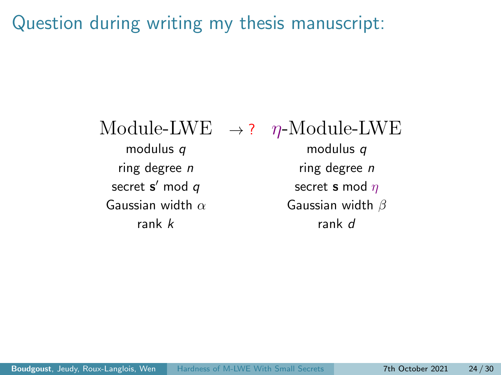Question during writing my thesis manuscript:

modulus q modulus q ring degree  $n$  ring degree  $n$ secret  $s'$  mod  $q$ Gaussian width  $\alpha$  Gaussian width  $\beta$ rank  $k$  rank d

Module-LWE  $\rightarrow$  ?  $n$ -Module-LWE

secret **s** mod  $\eta$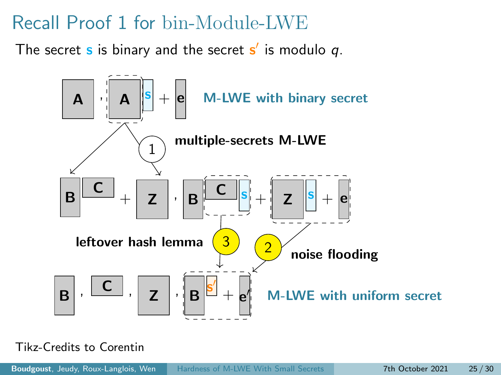### Recall Proof 1 for bin-Module-LWE

The secret  $\bf s$  is binary and the secret  $\bf s'$  is modulo  $q.$ 



Tikz-Credits to Corentin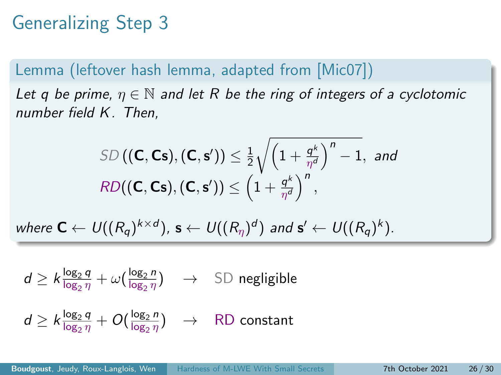# Generalizing Step 3

#### Lemma (leftover hash lemma, adapted from [\[Mic07\]](#page-70-0))

Let q be prime,  $\eta \in \mathbb{N}$  and let R be the ring of integers of a cyclotomic number field K. Then,

$$
\text{SD}\left((\mathbf{C},\mathbf{Cs}),(\mathbf{C},\mathbf{s}')\right) \leq \frac{1}{2} \sqrt{\left(1 + \frac{q^k}{\eta^d}\right)^n - 1}, \text{ and}
$$
\n
$$
\text{RD}((\mathbf{C},\mathbf{Cs}),(\mathbf{C},\mathbf{s}') ) \leq \left(1 + \frac{q^k}{\eta^d}\right)^n,
$$

where  $\mathbf{C} \leftarrow U((R_q)^{k \times d})$ ,  $\mathbf{s} \leftarrow U((R_\eta)^d)$  and  $\mathbf{s}' \leftarrow U((R_q)^k)$ .

$$
d \geq k \frac{\log_2 q}{\log_2 \eta} + \omega \left( \frac{\log_2 n}{\log_2 \eta} \right) \quad \to \quad \text{SD negligible}
$$

$$
d \geq k \frac{\log_2 q}{\log_2 \eta} + O(\frac{\log_2 n}{\log_2 \eta}) \quad \to \quad \text{RD constant}
$$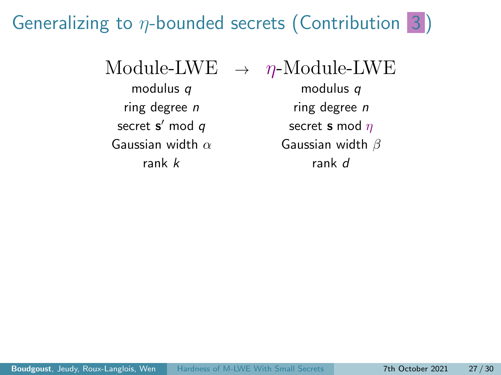## Generalizing to  $\eta$ -bounded secrets (Contribution 3)

Module-LWE  $\rightarrow \eta$ -Module-LWE

secret  $s'$  mod  $q$ 

modulus q modulus q ring degree  $n$  ring degree  $n$ secret **s** mod  $\eta$ Gaussian width  $\alpha$  Gaussian width  $\beta$ rank k rank d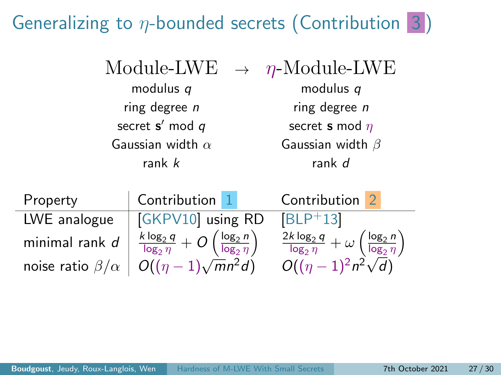# Generalizing to  $\eta$ -bounded secrets (Contribution 3)

| Module-LWE |
|------------|
|------------|

secret  $s'$  mod  $q$ rank k rank d

 $\rightarrow$  *η*-Module-LWE modulus q modulus q ring degree  $n$  ring degree  $n$ secret **s** mod  $\eta$ Gaussian width  $\alpha$  Gaussian width  $\beta$ 

| Property                   | Contribution 1                                                                | Contribution 2                                                                         |
|----------------------------|-------------------------------------------------------------------------------|----------------------------------------------------------------------------------------|
| LWE analogue               | GKPV10 using RD                                                               | $ BLP+13 $                                                                             |
| minimal rank d             | $\frac{k \log_2 q}{\log_2 \eta} + O\left(\frac{\log_2 n}{\log_2 \eta}\right)$ | $\frac{2k \log_2 q}{\log_2 \eta} + \omega \left( \frac{\log_2 n}{\log_2 \eta} \right)$ |
| noise ratio $\beta/\alpha$ | $ O((\eta-1)\sqrt{m}n^2d)$                                                    | $O((\eta-1)^2n^2\sqrt{d})$                                                             |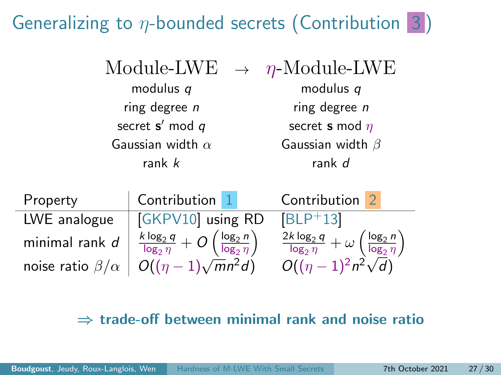# Generalizing to  $\eta$ -bounded secrets (Contribution 3)

secret  $s'$  mod  $q$ 

 $\eta$ -Module-LWE modulus q modulus q ring degree  $n$  ring degree  $n$ secret **s** mod  $\eta$ Gaussian width  $\alpha$  Gaussian width  $\beta$ rank k rank d

| Property                   | Contribution 1                                                                | Contribution 2                                                                         |
|----------------------------|-------------------------------------------------------------------------------|----------------------------------------------------------------------------------------|
| LWE analogue               | GKPV10 using RD                                                               | $ BLP+13 $                                                                             |
| minimal rank $d$           | $\frac{k \log_2 q}{\log_2 \eta} + O\left(\frac{\log_2 n}{\log_2 \eta}\right)$ | $\frac{2k \log_2 q}{\log_2 \eta} + \omega \left( \frac{\log_2 n}{\log_2 \eta} \right)$ |
| noise ratio $\beta/\alpha$ | $O((\eta-1)\sqrt{m}n^2d)$                                                     | $O((\eta-1)^2n^2\sqrt{d})$                                                             |

#### $\Rightarrow$  trade-off between minimal rank and noise ratio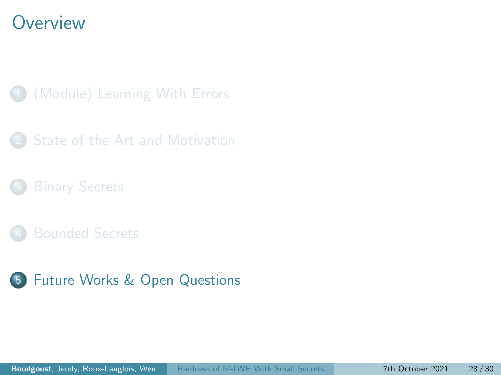#### <span id="page-63-0"></span>**Overview**

- 1 [\(Module\) Learning With Errors](#page-10-0)
- [State of the Art and Motivation](#page-30-0)
- 
- 
- 5 [Future Works & Open Questions](#page-63-0)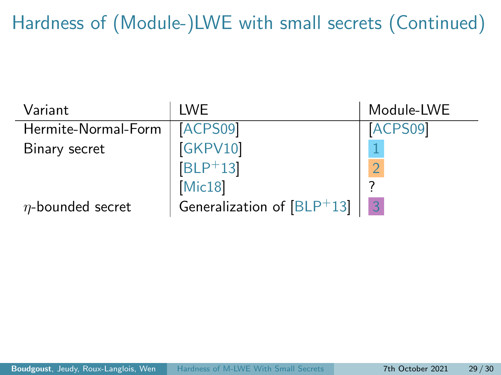Hardness of (Module-)LWE with small secrets (Continued)

| Variant                | <b>IWF</b>                   | Module-LWE |
|------------------------|------------------------------|------------|
| Hermite-Normal-Form    | ACPS09                       | ACPS09     |
| Binary secret          | GKPV10                       |            |
|                        | $[BLP+13]$                   |            |
|                        | Mic18                        |            |
| $\eta$ -bounded secret | Generalization of $[BLP+13]$ | 3          |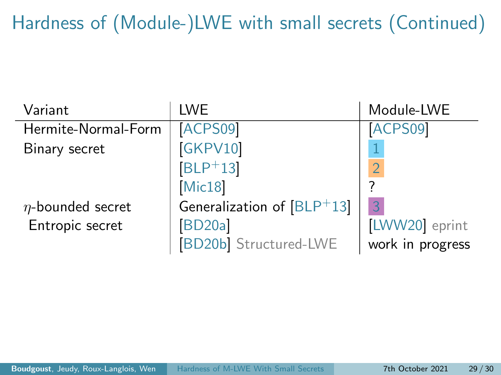Hardness of (Module-)LWE with small secrets (Continued)

| Variant                | <b>LWE</b>                  | Module-LWE       |
|------------------------|-----------------------------|------------------|
| Hermite-Normal-Form    | ACPS09                      | ACPS09           |
| Binary secret          | GKPV10                      |                  |
|                        | $ BLP+13 $                  | $\overline{O}$   |
|                        | Mic18                       |                  |
| $\eta$ -bounded secret | Generalization of [BLP+13]  | 3                |
| Entropic secret        | <b>BD20a</b>                | LWW20 eprint     |
|                        | <b>BD20b</b> Structured-LWE | work in progress |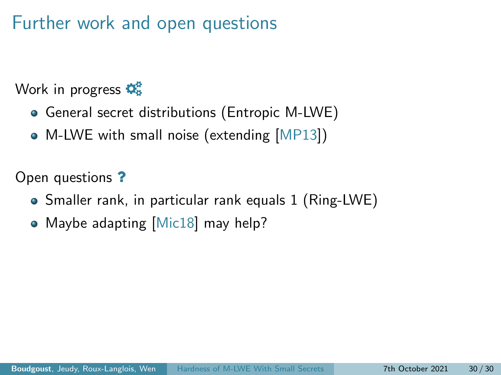### Further work and open questions

Work in progress  $\mathbf{\ddot{Q}_8}^2$ 

- General secret distributions (Entropic M-LWE)
- M-LWE with small noise (extending [\[MP13\]](#page-71-1))

Open questions ?

- Smaller rank, in particular rank equals 1 (Ring-LWE)
- Maybe adapting [\[Mic18\]](#page-71-0) may help?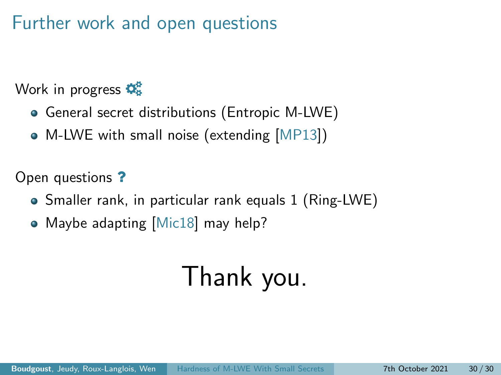### Further work and open questions

Work in progress  $\mathbf{\ddot{Q}_8}^2$ 

- General secret distributions (Entropic M-LWE)
- M-LWE with small noise (extending [\[MP13\]](#page-71-1))

Open questions ?

- Smaller rank, in particular rank equals 1 (Ring-LWE)
- Maybe adapting [\[Mic18\]](#page-71-0) may help?

# Thank you.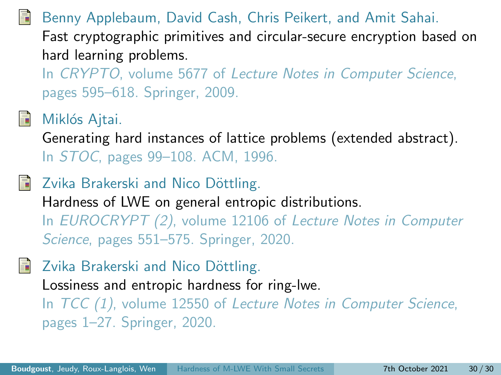<span id="page-68-0"></span>Benny Applebaum, David Cash, Chris Peikert, and Amit Sahai. Fast cryptographic primitives and circular-secure encryption based on hard learning problems.

In CRYPTO, volume 5677 of Lecture Notes in Computer Science, pages 595–618. Springer, 2009.



#### Miklós Ajtai.

Generating hard instances of lattice problems (extended abstract). In STOC, pages 99–108. ACM, 1996.

<span id="page-68-2"></span>Zvika Brakerski and Nico Döttling. Hardness of LWE on general entropic distributions. In EUROCRYPT (2), volume 12106 of Lecture Notes in Computer Science, pages 551–575. Springer, 2020.

<span id="page-68-3"></span>Zvika Brakerski and Nico Döttling.

Lossiness and entropic hardness for ring-lwe.

<span id="page-68-1"></span>In TCC (1), volume 12550 of Lecture Notes in Computer Science, pages 1–27. Springer, 2020.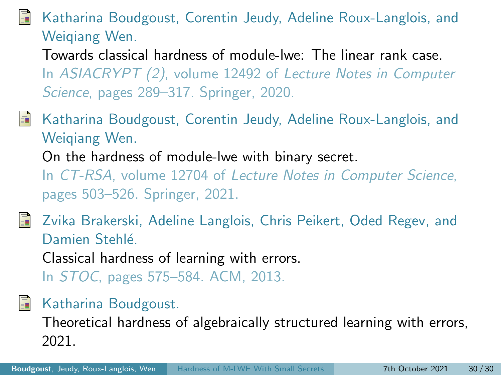#### Katharina Boudgoust, Corentin Jeudy, Adeline Roux-Langlois, and Weiqiang Wen.

Towards classical hardness of module-lwe: The linear rank case. In ASIACRYPT (2), volume 12492 of Lecture Notes in Computer Science, pages 289–317. Springer, 2020.

- <span id="page-69-2"></span>Katharina Boudgoust, Corentin Jeudy, Adeline Roux-Langlois, and Weiqiang Wen. On the hardness of module-lwe with binary secret. In CT-RSA, volume 12704 of Lecture Notes in Computer Science, pages 503–526. Springer, 2021.
- <span id="page-69-1"></span>Zvika Brakerski, Adeline Langlois, Chris Peikert, Oded Regev, and Damien Stehlé

Classical hardness of learning with errors.

In STOC, pages 575–584. ACM, 2013.

<span id="page-69-3"></span>譶 Katharina Boudgoust.

> <span id="page-69-0"></span>Theoretical hardness of algebraically structured learning with errors, 2021.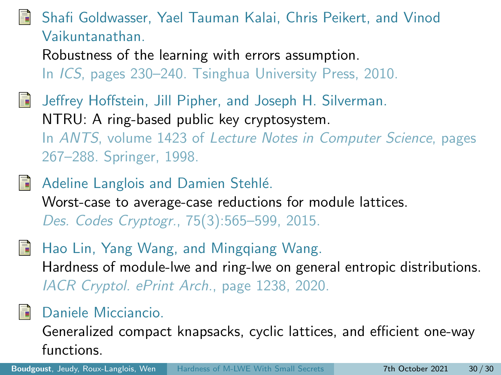#### Shafi Goldwasser, Yael Tauman Kalai, Chris Peikert, and Vinod Vaikuntanathan.

Robustness of the learning with errors assumption. In ICS, pages 230–240. Tsinghua University Press, 2010.

- Jeffrey Hoffstein, Jill Pipher, and Joseph H. Silverman. NTRU: A ring-based public key cryptosystem. In ANTS, volume 1423 of Lecture Notes in Computer Science, pages 267–288. Springer, 1998.
- Adeline Langlois and Damien Stehlé. Worst-case to average-case reductions for module lattices. Des. Codes Cryptogr., 75(3):565–599, 2015.
- <span id="page-70-1"></span>Hao Lin, Yang Wang, and Mingqiang Wang. Hardness of module-lwe and ring-lwe on general entropic distributions. IACR Cryptol. ePrint Arch., page 1238, 2020.

#### <span id="page-70-0"></span>Daniele Micciancio.

Generalized compact knapsacks, cyclic lattices, and efficient one-way functions.